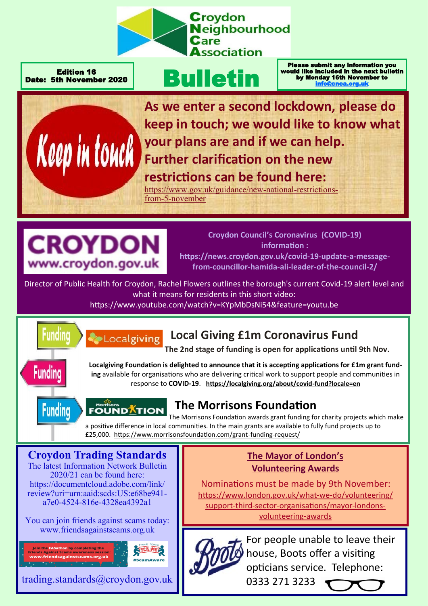

Edition 16 Date: 5th November 2020

# Bulletin

Please submit any information you would like included in the next bulletin by Monday 16th November to [info@cnca.org.uk](mailto:info@cnca.org.uk)



**As we enter a second lockdown, please do keep in touch; we would like to know what your plans are and if we can help. Further clarification on the new restrictions can be found here:** 

[https://www.gov.uk/guidance/new](https://www.gov.uk/guidance/new-national-restrictions-from-5-november)-national-restrictionsfrom-5-[november](https://www.gov.uk/guidance/new-national-restrictions-from-5-november)



Localgiving

**Croydon Council's Coronavirus (COVID-19) information : https://news.croydon.gov.uk/covid-19-update-a-message-**

**from-councillor-hamida-ali-leader-of-the-council-2/**

Director of Public Health for Croydon, Rachel Flowers outlines the borough's current Covid-19 alert level and what it means for residents in this short video:

https://www.youtube.com/watch?v=KYpMbDsNi54&feature=youtu.be



# **Local Giving £1m Coronavirus Fund**

**The 2nd stage of funding is open for applications until 9th Nov.**

**Funding** 





## **The Morrisons Foundation**

**FOUNDATION** The Morrisons Foundation awards grant funding for charity projects which make a positive difference in local communities. In the main grants are available to fully fund projects up to £25,000. [https://www.morrisonsfoundation.com/grant](https://www.morrisonsfoundation.com/grant-funding-request/)-funding-request/

**Croydon Trading Standards** The latest Information Network Bulletin 2020/21 can be found here: https://documentcloud.adobe.com/link/ review?uri=urn:aaid:scds:US:e68be941 a7e0-4524-816e-4328ea4392a1

You can join friends against scams today: www.friendsagainstscams.org.uk



trading.standards@croydon.gov.uk

## **The Mayor of London's Volunteering Awards**

Nominations must be made by 9th November: [https://www.london.gov.uk/what](https://www.london.gov.uk/what-we-do/volunteering/support-third-sector-organisations/mayor-londons-volunteering-awards)-we-do/volunteering/ support-third-sector-[organisations/mayor](https://www.london.gov.uk/what-we-do/volunteering/support-third-sector-organisations/mayor-londons-volunteering-awards)-londons[volunteering](https://www.london.gov.uk/what-we-do/volunteering/support-third-sector-organisations/mayor-londons-volunteering-awards)-awards



For people unable to leave their house, Boots offer a visiting opticians service. Telephone:

0333 271 3233